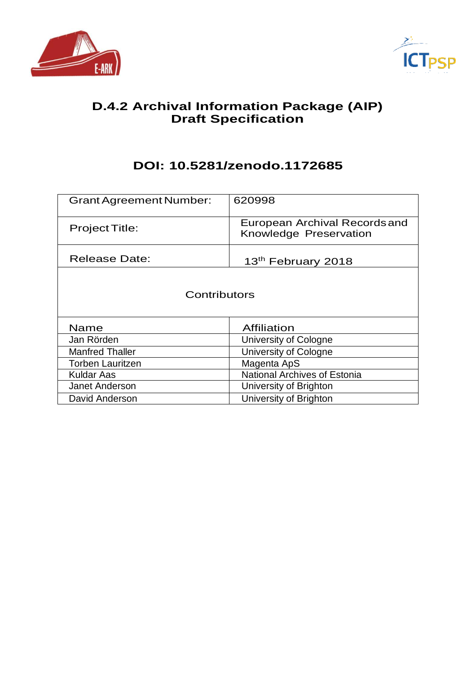



# **D.4.2 Archival Information Package (AIP) Draft Specification**

# **DOI: 10.5281/zenodo.1172685**

| <b>Grant Agreement Number:</b> | 620998                                                  |
|--------------------------------|---------------------------------------------------------|
| <b>Project Title:</b>          | European Archival Records and<br>Knowledge Preservation |
| <b>Release Date:</b>           | 13 <sup>th</sup> February 2018                          |
| Contributors                   |                                                         |
| Name                           | Affiliation                                             |
| Jan Rörden                     | University of Cologne                                   |
| <b>Manfred Thaller</b>         | University of Cologne                                   |
| Torben Lauritzen               | Magenta ApS                                             |
| Kuldar Aas                     | <b>National Archives of Estonia</b>                     |
| <b>Janet Anderson</b>          | University of Brighton                                  |
| David Anderson                 | University of Brighton                                  |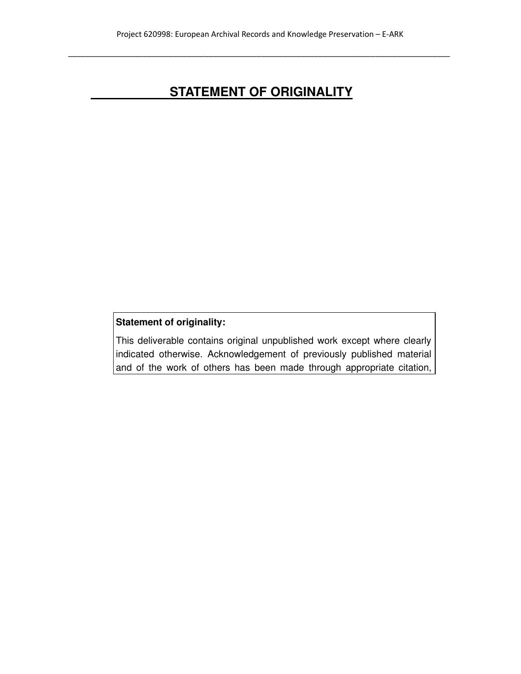# **STATEMENT OF ORIGINALITY**

### **Statement of originality:**

This deliverable contains original unpublished work except where clearly indicated otherwise. Acknowledgement of previously published material and of the work of others has been made through appropriate citation,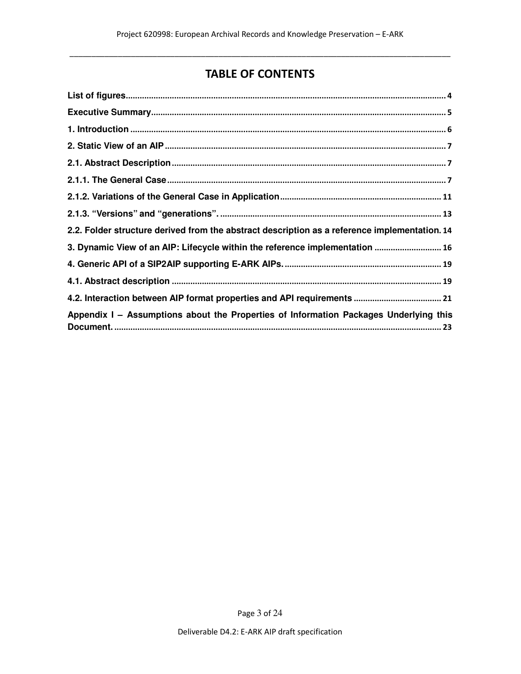# TABLE OF CONTENTS

| 2.2. Folder structure derived from the abstract description as a reference implementation. 14 |
|-----------------------------------------------------------------------------------------------|
| 3. Dynamic View of an AIP: Lifecycle within the reference implementation  16                  |
|                                                                                               |
|                                                                                               |
|                                                                                               |
| Appendix I - Assumptions about the Properties of Information Packages Underlying this         |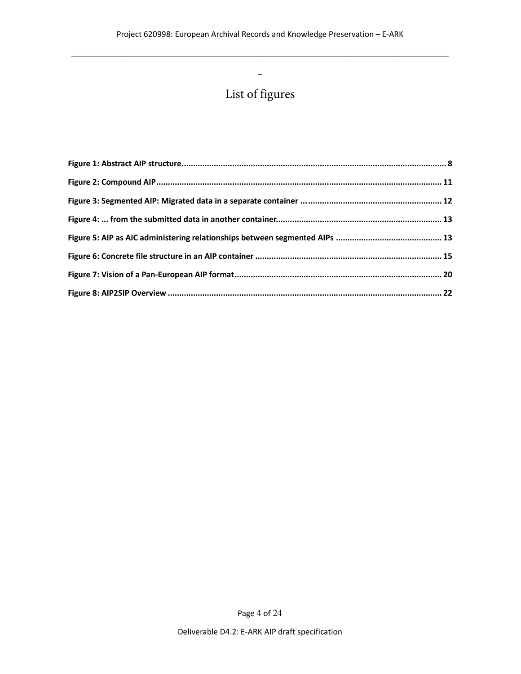$\_$  , and the set of the set of the set of the set of the set of the set of the set of the set of the set of the set of the set of the set of the set of the set of the set of the set of the set of the set of the set of th

 $\overline{\phantom{0}}$ 

# List of figures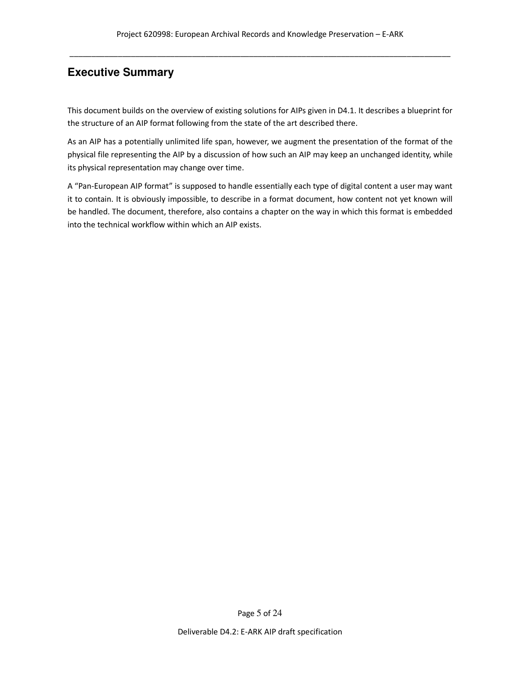### **Executive Summary**

This document builds on the overview of existing solutions for AIPs given in D4.1. It describes a blueprint for the structure of an AIP format following from the state of the art described there.

As an AIP has a potentially unlimited life span, however, we augment the presentation of the format of the physical file representing the AIP by a discussion of how such an AIP may keep an unchanged identity, while its physical representation may change over time.

A "Pan-European AIP format" is supposed to handle essentially each type of digital content a user may want it to contain. It is obviously impossible, to describe in a format document, how content not yet known will be handled. The document, therefore, also contains a chapter on the way in which this format is embedded into the technical workflow within which an AIP exists.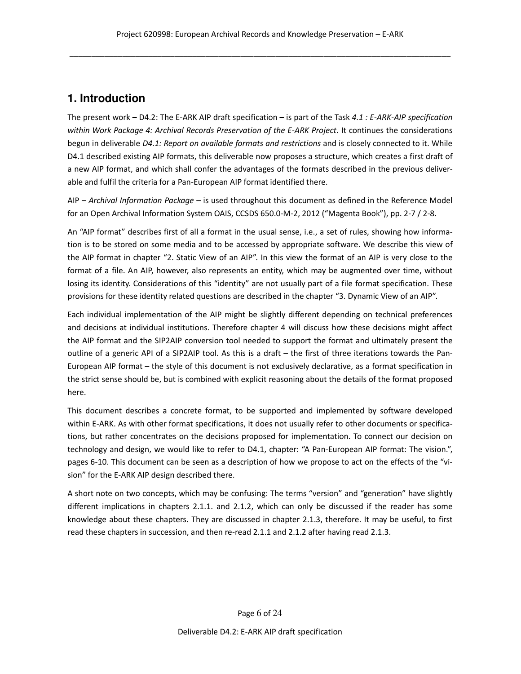### **1. Introduction**

The present work – D4.2: The E-ARK AIP draft specification – is part of the Task  $4.1$ : E-ARK-AIP specification within Work Package 4: Archival Records Preservation of the E-ARK Project. It continues the considerations begun in deliverable D4.1: Report on available formats and restrictions and is closely connected to it. While D4.1 described existing AIP formats, this deliverable now proposes a structure, which creates a first draft of a new AIP format, and which shall confer the advantages of the formats described in the previous deliverable and fulfil the criteria for a Pan-European AIP format identified there.

AIP - Archival Information Package - is used throughout this document as defined in the Reference Model for an Open Archival Information System OAIS, CCSDS 650.0-M-2, 2012 ("Magenta Book"), pp. 2-7 / 2-8.

An "AIP format" describes first of all a format in the usual sense, i.e., a set of rules, showing how information is to be stored on some media and to be accessed by appropriate software. We describe this view of the AIP format in chapter "2. Static View of an AIP". In this view the format of an AIP is very close to the format of a file. An AIP, however, also represents an entity, which may be augmented over time, without losing its identity. Considerations of this "identity" are not usually part of a file format specification. These provisions for these identity related questions are described in the chapter "3. Dynamic View of an AIP".

Each individual implementation of the AIP might be slightly different depending on technical preferences and decisions at individual institutions. Therefore chapter 4 will discuss how these decisions might affect the AIP format and the SIP2AIP conversion tool needed to support the format and ultimately present the outline of a generic API of a SIP2AIP tool. As this is a draft – the first of three iterations towards the Pan-European AIP format – the style of this document is not exclusively declarative, as a format specification in the strict sense should be, but is combined with explicit reasoning about the details of the format proposed here.

This document describes a concrete format, to be supported and implemented by software developed within E-ARK. As with other format specifications, it does not usually refer to other documents or specifications, but rather concentrates on the decisions proposed for implementation. To connect our decision on technology and design, we would like to refer to D4.1, chapter: "A Pan-European AIP format: The vision.", pages 6-10. This document can be seen as a description of how we propose to act on the effects of the "vision" for the E-ARK AIP design described there.

A short note on two concepts, which may be confusing: The terms "version" and "generation" have slightly different implications in chapters 2.1.1. and 2.1.2, which can only be discussed if the reader has some knowledge about these chapters. They are discussed in chapter 2.1.3, therefore. It may be useful, to first read these chapters in succession, and then re-read 2.1.1 and 2.1.2 after having read 2.1.3.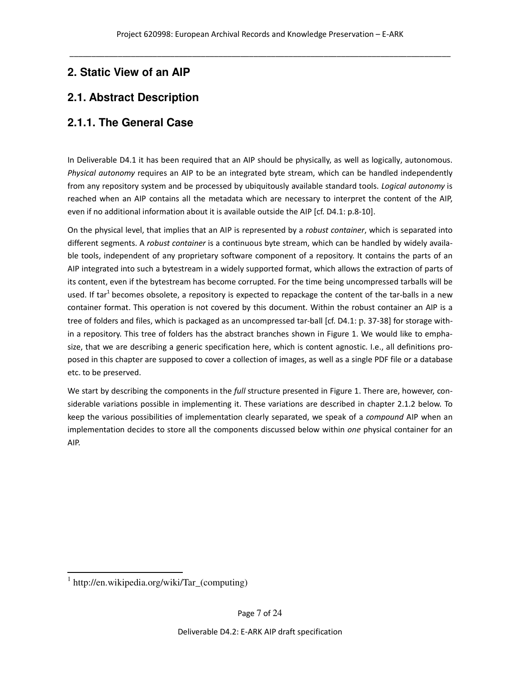# **2. Static View of an AIP**

# **2.1. Abstract Description**

### **2.1.1. The General Case**

In Deliverable D4.1 it has been required that an AIP should be physically, as well as logically, autonomous. Physical autonomy requires an AIP to be an integrated byte stream, which can be handled independently from any repository system and be processed by ubiquitously available standard tools. Logical autonomy is reached when an AIP contains all the metadata which are necessary to interpret the content of the AIP, even if no additional information about it is available outside the AIP [cf. D4.1: p.8-10].

On the physical level, that implies that an AIP is represented by a *robust container*, which is separated into different segments. A robust container is a continuous byte stream, which can be handled by widely available tools, independent of any proprietary software component of a repository. It contains the parts of an AIP integrated into such a bytestream in a widely supported format, which allows the extraction of parts of its content, even if the bytestream has become corrupted. For the time being uncompressed tarballs will be used. If tar<sup>1</sup> becomes obsolete, a repository is expected to repackage the content of the tar-balls in a new container format. This operation is not covered by this document. Within the robust container an AIP is a tree of folders and files, which is packaged as an uncompressed tar-ball [cf. D4.1: p. 37-38] for storage within a repository. This tree of folders has the abstract branches shown in Figure 1. We would like to emphasize, that we are describing a generic specification here, which is content agnostic. I.e., all definitions proposed in this chapter are supposed to cover a collection of images, as well as a single PDF file or a database etc. to be preserved.

We start by describing the components in the full structure presented in Figure 1. There are, however, considerable variations possible in implementing it. These variations are described in chapter 2.1.2 below. To keep the various possibilities of implementation clearly separated, we speak of a compound AIP when an implementation decides to store all the components discussed below within one physical container for an AIP.

 1 http://en.wikipedia.org/wiki/Tar\_(computing)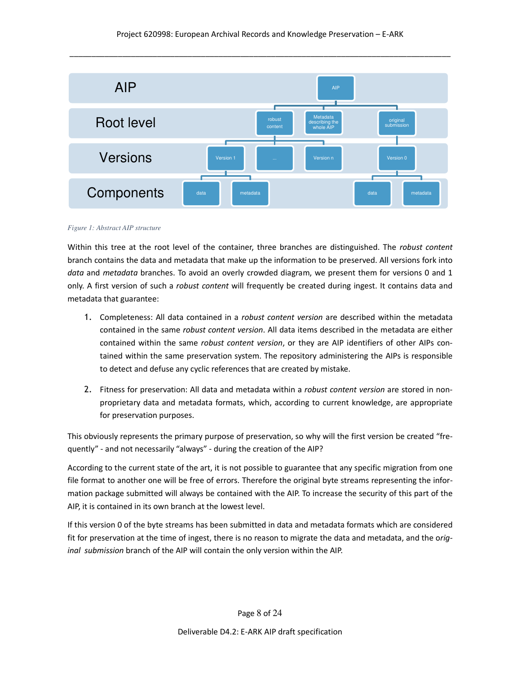

#### *Figure 1: Abstract AIP structure*

Within this tree at the root level of the container, three branches are distinguished. The robust content branch contains the data and metadata that make up the information to be preserved. All versions fork into data and metadata branches. To avoid an overly crowded diagram, we present them for versions 0 and 1 only. A first version of such a robust content will frequently be created during ingest. It contains data and metadata that guarantee:

- 1. Completeness: All data contained in a *robust content version* are described within the metadata contained in the same robust content version. All data items described in the metadata are either contained within the same robust content version, or they are AIP identifiers of other AIPs contained within the same preservation system. The repository administering the AIPs is responsible to detect and defuse any cyclic references that are created by mistake.
- 2. Fitness for preservation: All data and metadata within a robust content version are stored in nonproprietary data and metadata formats, which, according to current knowledge, are appropriate for preservation purposes.

This obviously represents the primary purpose of preservation, so why will the first version be created "frequently" - and not necessarily "always" - during the creation of the AIP?

According to the current state of the art, it is not possible to guarantee that any specific migration from one file format to another one will be free of errors. Therefore the original byte streams representing the information package submitted will always be contained with the AIP. To increase the security of this part of the AIP, it is contained in its own branch at the lowest level.

If this version 0 of the byte streams has been submitted in data and metadata formats which are considered fit for preservation at the time of ingest, there is no reason to migrate the data and metadata, and the original submission branch of the AIP will contain the only version within the AIP.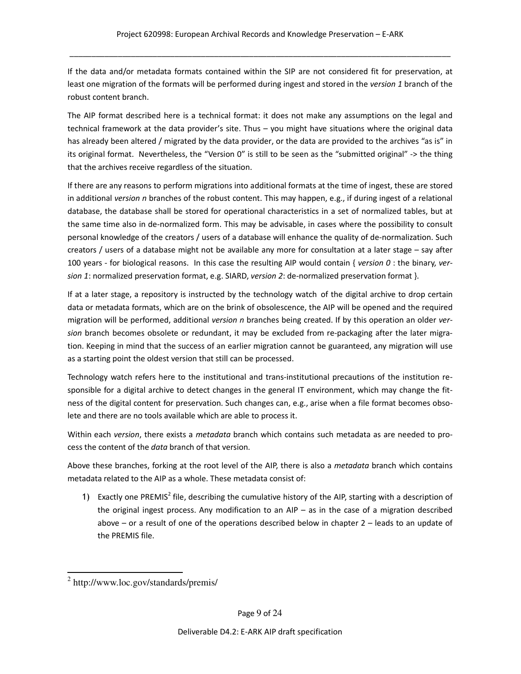If the data and/or metadata formats contained within the SIP are not considered fit for preservation, at least one migration of the formats will be performed during ingest and stored in the version 1 branch of the robust content branch.

The AIP format described here is a technical format: it does not make any assumptions on the legal and technical framework at the data provider's site. Thus – you might have situations where the original data has already been altered / migrated by the data provider, or the data are provided to the archives "as is" in its original format. Nevertheless, the "Version 0" is still to be seen as the "submitted original" -> the thing that the archives receive regardless of the situation.

If there are any reasons to perform migrations into additional formats at the time of ingest, these are stored in additional version n branches of the robust content. This may happen, e.g., if during ingest of a relational database, the database shall be stored for operational characteristics in a set of normalized tables, but at the same time also in de-normalized form. This may be advisable, in cases where the possibility to consult personal knowledge of the creators / users of a database will enhance the quality of de-normalization. Such creators / users of a database might not be available any more for consultation at a later stage – say after 100 years - for biological reasons. In this case the resulting AIP would contain { version  $0$  : the binary, version 1: normalized preservation format, e.g. SIARD, version 2: de-normalized preservation format }.

If at a later stage, a repository is instructed by the technology watch of the digital archive to drop certain data or metadata formats, which are on the brink of obsolescence, the AIP will be opened and the required migration will be performed, additional version n branches being created. If by this operation an older version branch becomes obsolete or redundant, it may be excluded from re-packaging after the later migration. Keeping in mind that the success of an earlier migration cannot be guaranteed, any migration will use as a starting point the oldest version that still can be processed.

Technology watch refers here to the institutional and trans-institutional precautions of the institution responsible for a digital archive to detect changes in the general IT environment, which may change the fitness of the digital content for preservation. Such changes can, e.g., arise when a file format becomes obsolete and there are no tools available which are able to process it.

Within each version, there exists a metadata branch which contains such metadata as are needed to process the content of the data branch of that version.

Above these branches, forking at the root level of the AIP, there is also a *metadata* branch which contains metadata related to the AIP as a whole. These metadata consist of:

1) Exactly one PREMIS<sup>2</sup> file, describing the cumulative history of the AIP, starting with a description of the original ingest process. Any modification to an AIP – as in the case of a migration described above – or a result of one of the operations described below in chapter 2 – leads to an update of the PREMIS file.

 2 http://www.loc.gov/standards/premis/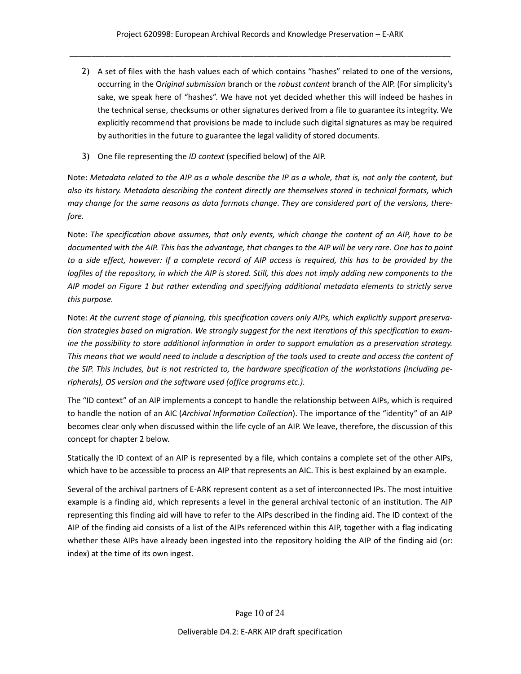- 2) A set of files with the hash values each of which contains "hashes" related to one of the versions, occurring in the Original submission branch or the robust content branch of the AIP. (For simplicity's sake, we speak here of "hashes". We have not yet decided whether this will indeed be hashes in the technical sense, checksums or other signatures derived from a file to guarantee its integrity. We explicitly recommend that provisions be made to include such digital signatures as may be required by authorities in the future to guarantee the legal validity of stored documents.
- 3) One file representing the ID context (specified below) of the AIP.

Note: Metadata related to the AIP as a whole describe the IP as a whole, that is, not only the content, but also its history. Metadata describing the content directly are themselves stored in technical formats, which may change for the same reasons as data formats change. They are considered part of the versions, therefore.

Note: The specification above assumes, that only events, which change the content of an AIP, have to be documented with the AIP. This has the advantage, that changes to the AIP will be very rare. One has to point to a side effect, however: If a complete record of AIP access is required, this has to be provided by the logfiles of the repository, in which the AIP is stored. Still, this does not imply adding new components to the AIP model on Figure 1 but rather extending and specifying additional metadata elements to strictly serve this purpose.

Note: At the current stage of planning, this specification covers only AIPs, which explicitly support preservation strategies based on migration. We strongly suggest for the next iterations of this specification to examine the possibility to store additional information in order to support emulation as a preservation strategy. This means that we would need to include a description of the tools used to create and access the content of the SIP. This includes, but is not restricted to, the hardware specification of the workstations (including peripherals), OS version and the software used (office programs etc.).

The "ID context" of an AIP implements a concept to handle the relationship between AIPs, which is required to handle the notion of an AIC (Archival Information Collection). The importance of the "identity" of an AIP becomes clear only when discussed within the life cycle of an AIP. We leave, therefore, the discussion of this concept for chapter 2 below.

Statically the ID context of an AIP is represented by a file, which contains a complete set of the other AIPs, which have to be accessible to process an AIP that represents an AIC. This is best explained by an example.

Several of the archival partners of E-ARK represent content as a set of interconnected IPs. The most intuitive example is a finding aid, which represents a level in the general archival tectonic of an institution. The AIP representing this finding aid will have to refer to the AIPs described in the finding aid. The ID context of the AIP of the finding aid consists of a list of the AIPs referenced within this AIP, together with a flag indicating whether these AIPs have already been ingested into the repository holding the AIP of the finding aid (or: index) at the time of its own ingest.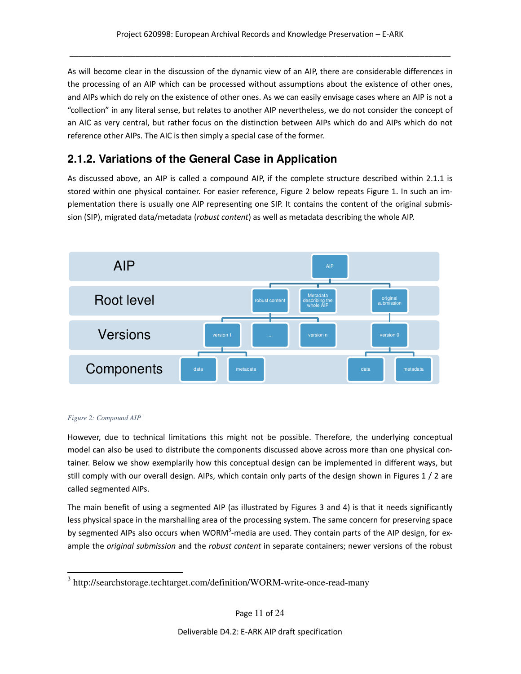As will become clear in the discussion of the dynamic view of an AIP, there are considerable differences in the processing of an AIP which can be processed without assumptions about the existence of other ones, and AIPs which do rely on the existence of other ones. As we can easily envisage cases where an AIP is not a "collection" in any literal sense, but relates to another AIP nevertheless, we do not consider the concept of an AIC as very central, but rather focus on the distinction between AIPs which do and AIPs which do not reference other AIPs. The AIC is then simply a special case of the former.

### **2.1.2. Variations of the General Case in Application**

As discussed above, an AIP is called a compound AIP, if the complete structure described within 2.1.1 is stored within one physical container. For easier reference, Figure 2 below repeats Figure 1. In such an implementation there is usually one AIP representing one SIP. It contains the content of the original submission (SIP), migrated data/metadata (robust content) as well as metadata describing the whole AIP.



#### *Figure 2: Compound AIP*

-

However, due to technical limitations this might not be possible. Therefore, the underlying conceptual model can also be used to distribute the components discussed above across more than one physical container. Below we show exemplarily how this conceptual design can be implemented in different ways, but still comply with our overall design. AIPs, which contain only parts of the design shown in Figures 1 / 2 are called segmented AIPs.

The main benefit of using a segmented AIP (as illustrated by Figures 3 and 4) is that it needs significantly less physical space in the marshalling area of the processing system. The same concern for preserving space by segmented AIPs also occurs when WORM<sup>3</sup>-media are used. They contain parts of the AIP design, for example the *original submission* and the *robust content* in separate containers; newer versions of the robust

<sup>&</sup>lt;sup>3</sup> http://searchstorage.techtarget.com/definition/WORM-write-once-read-many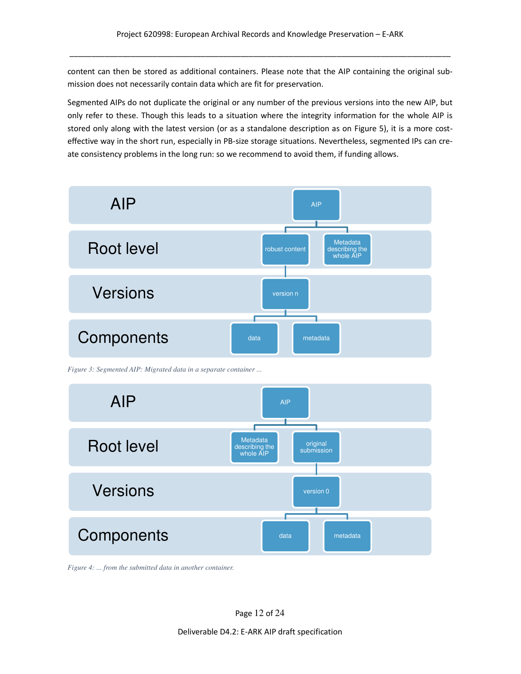content can then be stored as additional containers. Please note that the AIP containing the original submission does not necessarily contain data which are fit for preservation.

Segmented AIPs do not duplicate the original or any number of the previous versions into the new AIP, but only refer to these. Though this leads to a situation where the integrity information for the whole AIP is stored only along with the latest version (or as a standalone description as on Figure 5), it is a more costeffective way in the short run, especially in PB-size storage situations. Nevertheless, segmented IPs can create consistency problems in the long run: so we recommend to avoid them, if funding allows.



*Figure 3: Segmented AIP: Migrated data in a separate container ...* 



*Figure 4: ... from the submitted data in another container.*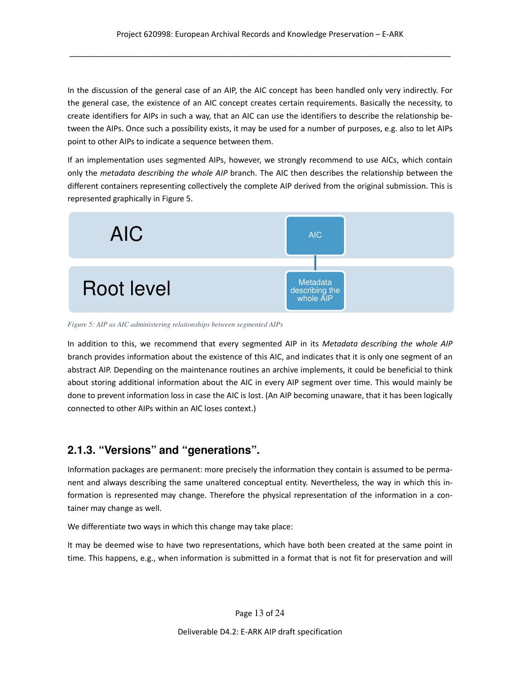In the discussion of the general case of an AIP, the AIC concept has been handled only very indirectly. For the general case, the existence of an AIC concept creates certain requirements. Basically the necessity, to create identifiers for AIPs in such a way, that an AIC can use the identifiers to describe the relationship between the AIPs. Once such a possibility exists, it may be used for a number of purposes, e.g. also to let AIPs point to other AIPs to indicate a sequence between them.

If an implementation uses segmented AIPs, however, we strongly recommend to use AICs, which contain only the metadata describing the whole AIP branch. The AIC then describes the relationship between the different containers representing collectively the complete AIP derived from the original submission. This is represented graphically in Figure 5.



*Figure 5: AIP as AIC administering relationships between segmented AIPs* 

In addition to this, we recommend that every segmented AIP in its Metadata describing the whole AIP branch provides information about the existence of this AIC, and indicates that it is only one segment of an abstract AIP. Depending on the maintenance routines an archive implements, it could be beneficial to think about storing additional information about the AIC in every AIP segment over time. This would mainly be done to prevent information loss in case the AIC is lost. (An AIP becoming unaware, that it has been logically connected to other AIPs within an AIC loses context.)

### **2.1.3. "Versions" and "generations".**

Information packages are permanent: more precisely the information they contain is assumed to be permanent and always describing the same unaltered conceptual entity. Nevertheless, the way in which this information is represented may change. Therefore the physical representation of the information in a container may change as well.

We differentiate two ways in which this change may take place:

It may be deemed wise to have two representations, which have both been created at the same point in time. This happens, e.g., when information is submitted in a format that is not fit for preservation and will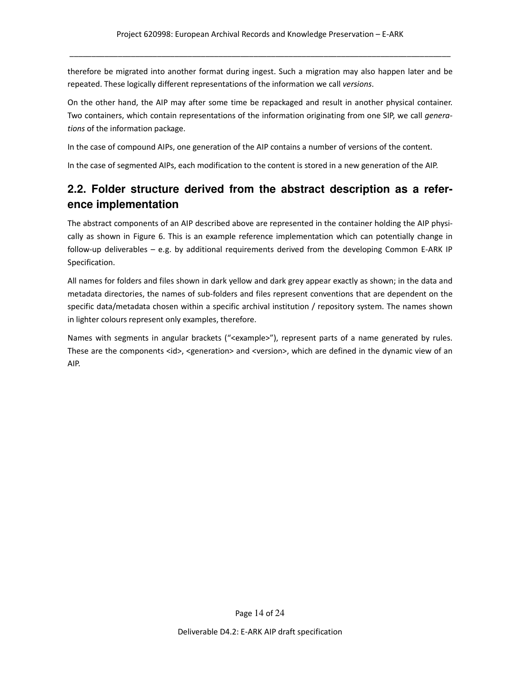therefore be migrated into another format during ingest. Such a migration may also happen later and be repeated. These logically different representations of the information we call versions.

On the other hand, the AIP may after some time be repackaged and result in another physical container. Two containers, which contain representations of the information originating from one SIP, we call generations of the information package.

In the case of compound AIPs, one generation of the AIP contains a number of versions of the content.

In the case of segmented AIPs, each modification to the content is stored in a new generation of the AIP.

### **2.2. Folder structure derived from the abstract description as a reference implementation**

The abstract components of an AIP described above are represented in the container holding the AIP physically as shown in Figure 6. This is an example reference implementation which can potentially change in follow-up deliverables – e.g. by additional requirements derived from the developing Common E-ARK IP Specification.

All names for folders and files shown in dark yellow and dark grey appear exactly as shown; in the data and metadata directories, the names of sub-folders and files represent conventions that are dependent on the specific data/metadata chosen within a specific archival institution / repository system. The names shown in lighter colours represent only examples, therefore.

Names with segments in angular brackets ("<example>"), represent parts of a name generated by rules. These are the components <id>, <generation> and <version>, which are defined in the dynamic view of an AIP.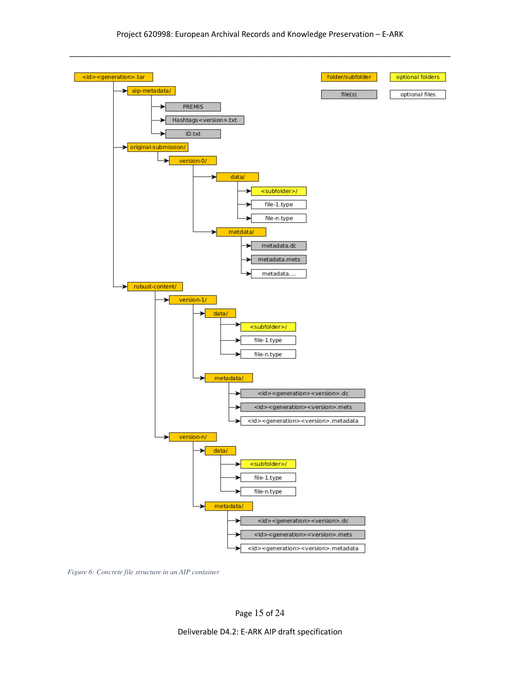

*Figure 6: Concrete file structure in an AIP container*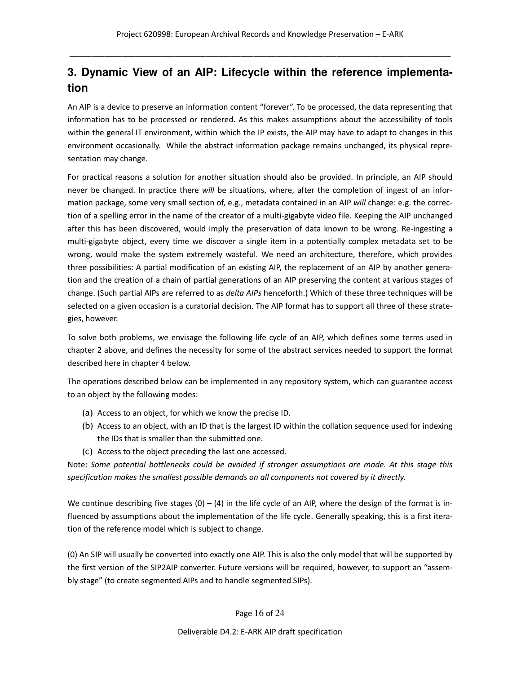# **3. Dynamic View of an AIP: Lifecycle within the reference implementation**

An AIP is a device to preserve an information content "forever". To be processed, the data representing that information has to be processed or rendered. As this makes assumptions about the accessibility of tools within the general IT environment, within which the IP exists, the AIP may have to adapt to changes in this environment occasionally. While the abstract information package remains unchanged, its physical representation may change.

For practical reasons a solution for another situation should also be provided. In principle, an AIP should never be changed. In practice there will be situations, where, after the completion of ingest of an information package, some very small section of, e.g., metadata contained in an AIP will change: e.g. the correction of a spelling error in the name of the creator of a multi-gigabyte video file. Keeping the AIP unchanged after this has been discovered, would imply the preservation of data known to be wrong. Re-ingesting a multi-gigabyte object, every time we discover a single item in a potentially complex metadata set to be wrong, would make the system extremely wasteful. We need an architecture, therefore, which provides three possibilities: A partial modification of an existing AIP, the replacement of an AIP by another generation and the creation of a chain of partial generations of an AIP preserving the content at various stages of change. (Such partial AIPs are referred to as *delta AIPs* henceforth.) Which of these three techniques will be selected on a given occasion is a curatorial decision. The AIP format has to support all three of these strategies, however.

To solve both problems, we envisage the following life cycle of an AIP, which defines some terms used in chapter 2 above, and defines the necessity for some of the abstract services needed to support the format described here in chapter 4 below.

The operations described below can be implemented in any repository system, which can guarantee access to an object by the following modes:

- (a) Access to an object, for which we know the precise ID.
- (b) Access to an object, with an ID that is the largest ID within the collation sequence used for indexing the IDs that is smaller than the submitted one.
- (c) Access to the object preceding the last one accessed.

Note: Some potential bottlenecks could be avoided if stronger assumptions are made. At this stage this specification makes the smallest possible demands on all components not covered by it directly.

We continue describing five stages  $(0) - (4)$  in the life cycle of an AIP, where the design of the format is influenced by assumptions about the implementation of the life cycle. Generally speaking, this is a first iteration of the reference model which is subject to change.

(0) An SIP will usually be converted into exactly one AIP. This is also the only model that will be supported by the first version of the SIP2AIP converter. Future versions will be required, however, to support an "assembly stage" (to create segmented AIPs and to handle segmented SIPs).

#### Page 16 of 24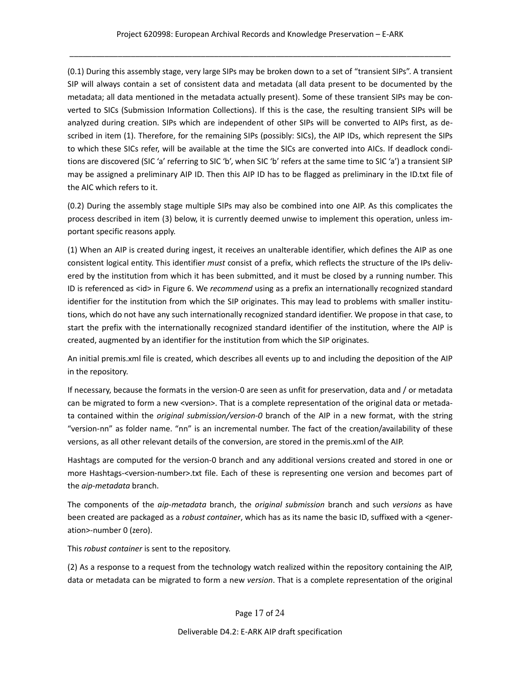(0.1) During this assembly stage, very large SIPs may be broken down to a set of "transient SIPs". A transient SIP will always contain a set of consistent data and metadata (all data present to be documented by the metadata; all data mentioned in the metadata actually present). Some of these transient SIPs may be converted to SICs (Submission Information Collections). If this is the case, the resulting transient SIPs will be analyzed during creation. SIPs which are independent of other SIPs will be converted to AIPs first, as described in item (1). Therefore, for the remaining SIPs (possibly: SICs), the AIP IDs, which represent the SIPs to which these SICs refer, will be available at the time the SICs are converted into AICs. If deadlock conditions are discovered (SIC 'a' referring to SIC 'b', when SIC 'b' refers at the same time to SIC 'a') a transient SIP may be assigned a preliminary AIP ID. Then this AIP ID has to be flagged as preliminary in the ID.txt file of the AIC which refers to it.

(0.2) During the assembly stage multiple SIPs may also be combined into one AIP. As this complicates the process described in item (3) below, it is currently deemed unwise to implement this operation, unless important specific reasons apply.

(1) When an AIP is created during ingest, it receives an unalterable identifier, which defines the AIP as one consistent logical entity. This identifier must consist of a prefix, which reflects the structure of the IPs delivered by the institution from which it has been submitted, and it must be closed by a running number. This ID is referenced as <id> in Figure 6. We recommend using as a prefix an internationally recognized standard identifier for the institution from which the SIP originates. This may lead to problems with smaller institutions, which do not have any such internationally recognized standard identifier. We propose in that case, to start the prefix with the internationally recognized standard identifier of the institution, where the AIP is created, augmented by an identifier for the institution from which the SIP originates.

An initial premis.xml file is created, which describes all events up to and including the deposition of the AIP in the repository.

If necessary, because the formats in the version-0 are seen as unfit for preservation, data and / or metadata can be migrated to form a new <version>. That is a complete representation of the original data or metadata contained within the original submission/version-0 branch of the AIP in a new format, with the string "version-nn" as folder name. "nn" is an incremental number. The fact of the creation/availability of these versions, as all other relevant details of the conversion, are stored in the premis.xml of the AIP.

Hashtags are computed for the version-0 branch and any additional versions created and stored in one or more Hashtags-<version-number>.txt file. Each of these is representing one version and becomes part of the aip-metadata branch.

The components of the aip-metadata branch, the original submission branch and such versions as have been created are packaged as a robust container, which has as its name the basic ID, suffixed with a <generation>-number 0 (zero).

This robust container is sent to the repository.

(2) As a response to a request from the technology watch realized within the repository containing the AIP, data or metadata can be migrated to form a new version. That is a complete representation of the original

Page 17 of 24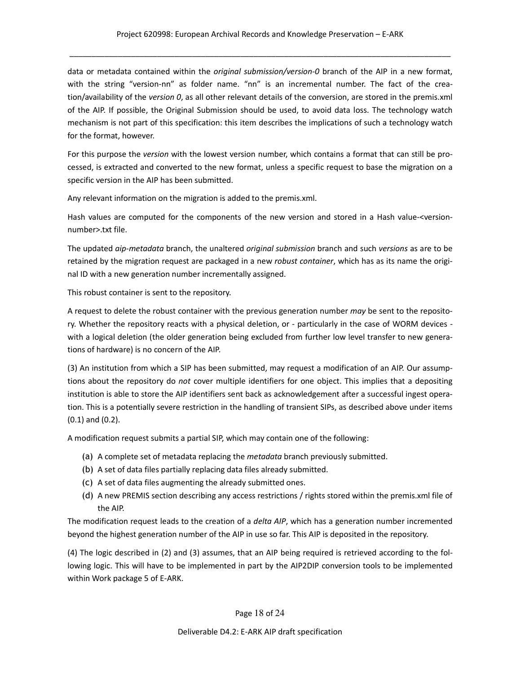data or metadata contained within the *original submission/version-0* branch of the AIP in a new format, with the string "version-nn" as folder name. "nn" is an incremental number. The fact of the creation/availability of the version 0, as all other relevant details of the conversion, are stored in the premis.xml of the AIP. If possible, the Original Submission should be used, to avoid data loss. The technology watch mechanism is not part of this specification: this item describes the implications of such a technology watch for the format, however.

For this purpose the version with the lowest version number, which contains a format that can still be processed, is extracted and converted to the new format, unless a specific request to base the migration on a specific version in the AIP has been submitted.

Any relevant information on the migration is added to the premis.xml.

Hash values are computed for the components of the new version and stored in a Hash value-<versionnumber>.txt file.

The updated aip-metadata branch, the unaltered original submission branch and such versions as are to be retained by the migration request are packaged in a new robust container, which has as its name the original ID with a new generation number incrementally assigned.

This robust container is sent to the repository.

A request to delete the robust container with the previous generation number may be sent to the repository. Whether the repository reacts with a physical deletion, or - particularly in the case of WORM devices with a logical deletion (the older generation being excluded from further low level transfer to new generations of hardware) is no concern of the AIP.

(3) An institution from which a SIP has been submitted, may request a modification of an AIP. Our assumptions about the repository do not cover multiple identifiers for one object. This implies that a depositing institution is able to store the AIP identifiers sent back as acknowledgement after a successful ingest operation. This is a potentially severe restriction in the handling of transient SIPs, as described above under items (0.1) and (0.2).

A modification request submits a partial SIP, which may contain one of the following:

- (a) A complete set of metadata replacing the metadata branch previously submitted.
- (b) A set of data files partially replacing data files already submitted.
- (c) A set of data files augmenting the already submitted ones.
- (d) A new PREMIS section describing any access restrictions / rights stored within the premis.xml file of the AIP.

The modification request leads to the creation of a *delta AIP*, which has a generation number incremented beyond the highest generation number of the AIP in use so far. This AIP is deposited in the repository.

(4) The logic described in (2) and (3) assumes, that an AIP being required is retrieved according to the following logic. This will have to be implemented in part by the AIP2DIP conversion tools to be implemented within Work package 5 of E-ARK.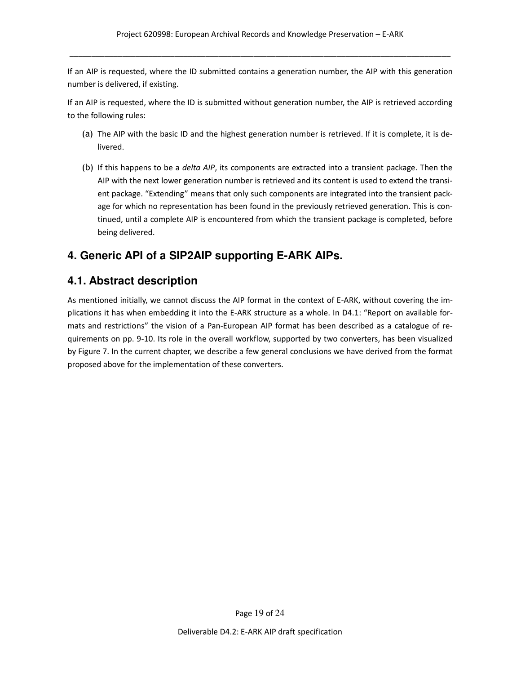If an AIP is requested, where the ID submitted contains a generation number, the AIP with this generation number is delivered, if existing.

If an AIP is requested, where the ID is submitted without generation number, the AIP is retrieved according to the following rules:

- (a) The AIP with the basic ID and the highest generation number is retrieved. If it is complete, it is delivered.
- (b) If this happens to be a *delta AIP*, its components are extracted into a transient package. Then the AIP with the next lower generation number is retrieved and its content is used to extend the transient package. "Extending" means that only such components are integrated into the transient package for which no representation has been found in the previously retrieved generation. This is continued, until a complete AIP is encountered from which the transient package is completed, before being delivered.

# **4. Generic API of a SIP2AIP supporting E-ARK AIPs.**

### **4.1. Abstract description**

As mentioned initially, we cannot discuss the AIP format in the context of E-ARK, without covering the implications it has when embedding it into the E-ARK structure as a whole. In D4.1: "Report on available formats and restrictions" the vision of a Pan-European AIP format has been described as a catalogue of requirements on pp. 9-10. Its role in the overall workflow, supported by two converters, has been visualized by Figure 7. In the current chapter, we describe a few general conclusions we have derived from the format proposed above for the implementation of these converters.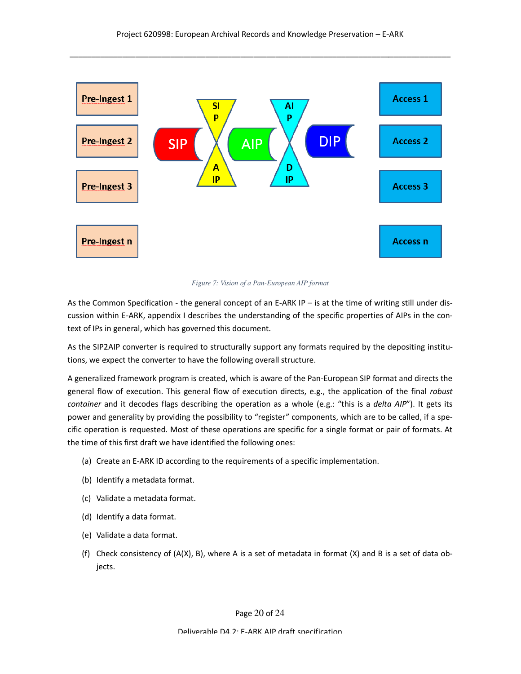

*Figure Figure 7: Vision of a Pan-European AIP format* 

As the Common Specification - the general concept of an E-ARK IP – is at the time of writing still under discussion within E-ARK, appendix I describes the understanding of the specific properties of AIPs in the context of IPs in general, which has governed this document.

As the SIP2AIP converter is required to structurally support any formats required by the depositing institutions, we expect the converter to have the following overall structure.

A generalized framework program is created, which is aware of the Pan-European SIP format and directs the general flow of execution. This general flow of execution directs, e.g., the application of the final robust container and it decodes flags describing the operation as a whole (e.g.: "this is a delta AIP"). It gets its power and generality by providing the possibility to "register" components, which are to be called, if a specific operation is requested. Most of these operations are specific for a single format or pair of formats. At the time of this first draft we have identified the following ones:

- (a) Create an E-ARK ID according to the requirements of a specific implementation.
- (b) Identify a metadata format.
- (c) Validate a metadata format.
- (d) Identify a data format.
- (e) Validate a data format.
- (f) Check consistency of  $(A(X), B)$ , where A is a set of metadata in format  $(X)$  and B is a set of data objects.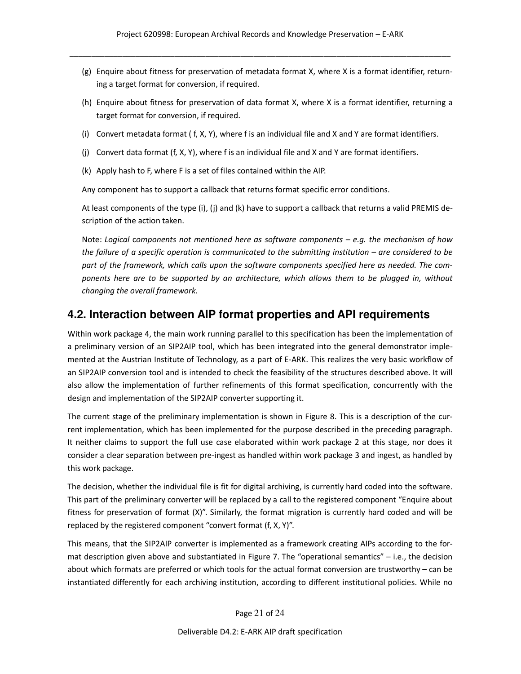- (g) Enquire about fitness for preservation of metadata format X, where X is a format identifier, returning a target format for conversion, if required.
- (h) Enquire about fitness for preservation of data format X, where X is a format identifier, returning a target format for conversion, if required.
- (i) Convert metadata format ( f, X, Y), where f is an individual file and X and Y are format identifiers.
- (j) Convert data format (f, X, Y), where f is an individual file and X and Y are format identifiers.
- (k) Apply hash to F, where F is a set of files contained within the AIP.

Any component has to support a callback that returns format specific error conditions.

At least components of the type (i), (j) and (k) have to support a callback that returns a valid PREMIS description of the action taken.

Note: Logical components not mentioned here as software components  $-e.g.$  the mechanism of how the failure of a specific operation is communicated to the submitting institution – are considered to be part of the framework, which calls upon the software components specified here as needed. The components here are to be supported by an architecture, which allows them to be plugged in, without changing the overall framework.

### **4.2. Interaction between AIP format properties and API requirements**

Within work package 4, the main work running parallel to this specification has been the implementation of a preliminary version of an SIP2AIP tool, which has been integrated into the general demonstrator implemented at the Austrian Institute of Technology, as a part of E-ARK. This realizes the very basic workflow of an SIP2AIP conversion tool and is intended to check the feasibility of the structures described above. It will also allow the implementation of further refinements of this format specification, concurrently with the design and implementation of the SIP2AIP converter supporting it.

The current stage of the preliminary implementation is shown in Figure 8. This is a description of the current implementation, which has been implemented for the purpose described in the preceding paragraph. It neither claims to support the full use case elaborated within work package 2 at this stage, nor does it consider a clear separation between pre-ingest as handled within work package 3 and ingest, as handled by this work package.

The decision, whether the individual file is fit for digital archiving, is currently hard coded into the software. This part of the preliminary converter will be replaced by a call to the registered component "Enquire about fitness for preservation of format (X)". Similarly, the format migration is currently hard coded and will be replaced by the registered component "convert format (f, X, Y)".

This means, that the SIP2AIP converter is implemented as a framework creating AIPs according to the format description given above and substantiated in Figure 7. The "operational semantics" – i.e., the decision about which formats are preferred or which tools for the actual format conversion are trustworthy – can be instantiated differently for each archiving institution, according to different institutional policies. While no

Page 21 of 24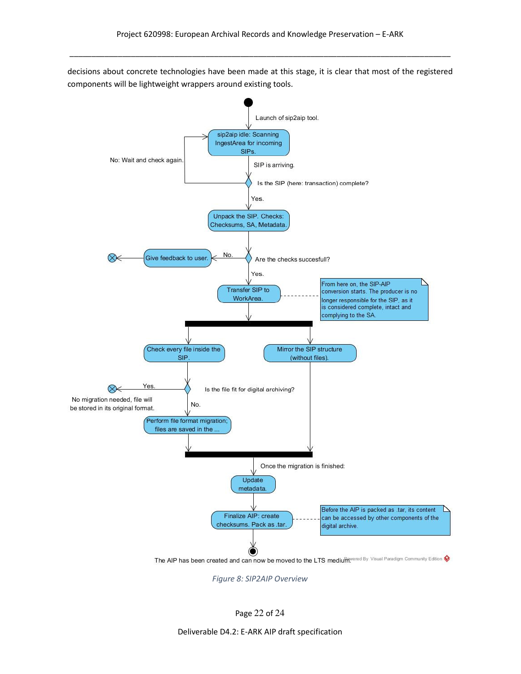decisions about concrete technologies have been made at this stage, it is clear that most of the registered components will be lightweight wrappers around existing tools.



Figure 8: SIP2AIP Overview

Page 22 of 24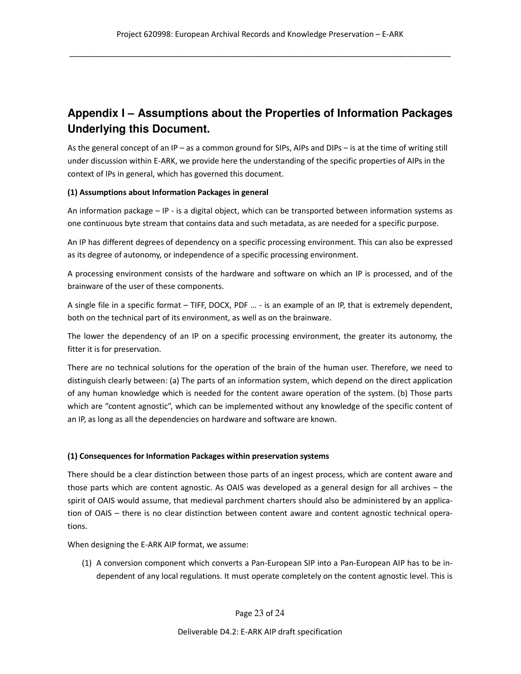# **Appendix I – Assumptions about the Properties of Information Packages Underlying this Document.**

As the general concept of an IP – as a common ground for SIPs, AIPs and DIPs – is at the time of writing still under discussion within E-ARK, we provide here the understanding of the specific properties of AIPs in the context of IPs in general, which has governed this document.

#### (1) Assumptions about Information Packages in general

An information package – IP - is a digital object, which can be transported between information systems as one continuous byte stream that contains data and such metadata, as are needed for a specific purpose.

An IP has different degrees of dependency on a specific processing environment. This can also be expressed as its degree of autonomy, or independence of a specific processing environment.

A processing environment consists of the hardware and software on which an IP is processed, and of the brainware of the user of these components.

A single file in a specific format – TIFF, DOCX, PDF … - is an example of an IP, that is extremely dependent, both on the technical part of its environment, as well as on the brainware.

The lower the dependency of an IP on a specific processing environment, the greater its autonomy, the fitter it is for preservation.

There are no technical solutions for the operation of the brain of the human user. Therefore, we need to distinguish clearly between: (a) The parts of an information system, which depend on the direct application of any human knowledge which is needed for the content aware operation of the system. (b) Those parts which are "content agnostic", which can be implemented without any knowledge of the specific content of an IP, as long as all the dependencies on hardware and software are known.

#### (1) Consequences for Information Packages within preservation systems

There should be a clear distinction between those parts of an ingest process, which are content aware and those parts which are content agnostic. As OAIS was developed as a general design for all archives – the spirit of OAIS would assume, that medieval parchment charters should also be administered by an application of OAIS – there is no clear distinction between content aware and content agnostic technical operations.

When designing the E-ARK AIP format, we assume:

(1) A conversion component which converts a Pan-European SIP into a Pan-European AIP has to be independent of any local regulations. It must operate completely on the content agnostic level. This is